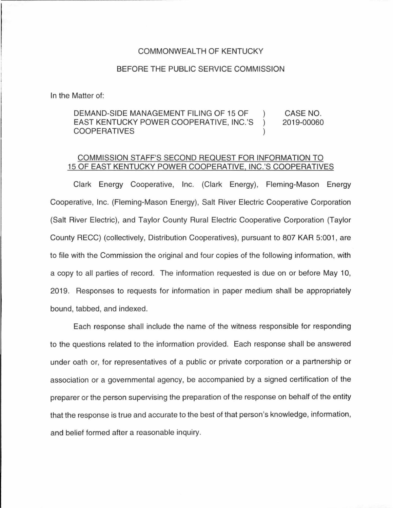## COMMONWEALTH OF KENTUCKY

## BEFORE THE PUBLIC SERVICE COMMISSION

In the Matter of:

## DEMAND-SIDE MANAGEMENT FILING OF 15 OF CASE NO. EAST KENTUCKY POWER COOPERATIVE, INC.'S  $\mathcal{L}$ 2019-00060 COOPERATIVES  $\lambda$

## COMMISSION STAFF'S SECOND REQUEST FOR INFORMATION TO 15 OF EAST KENTUCKY POWER COOPERATIVE, INC.'S COOPERATIVES

Clark Energy Cooperative, Inc. (Clark Energy), Fleming-Mason Energy Cooperative, Inc. (Fleming-Mason Energy), Salt River Electric Cooperative Corporation (Salt River Electric), and Taylor County Rural Electric Cooperative Corporation (Taylor County RECC) (collectively, Distribution Cooperatives), pursuant to 807 KAR 5:001 , are to file with the Commission the original and four copies of the following information, with a copy to all parties of record. The information requested is due on or before May 10, 2019. Responses to requests for information in paper medium shall be appropriately bound, tabbed, and indexed.

Each response shall include the name of the witness responsible for responding to the questions related to the information provided. Each response shall be answered under oath or, for representatives of a public or private corporation or a partnership or association or a governmental agency, be accompanied by a signed certification of the preparer or the person supervising the preparation of the response on behalf of the entity that the response is true and accurate to the best of that person's knowledge, information, and belief formed after a reasonable inquiry.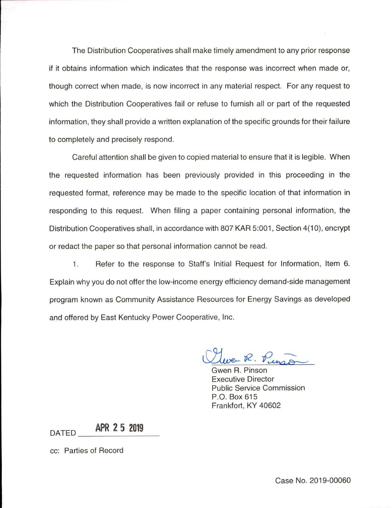The Distribution Cooperatives shall make timely amendment to any prior response if it obtains information which indicates that the response was incorrect when made or, though correct when made, is now incorrect in any material respect. For any request to which the Distribution Cooperatives fail or refuse to furnish all or part of the requested information, they shall provide a written explanation of the specific grounds for their failure to completely and precisely respond.

Careful attention shall be given to copied material to ensure that it is legible. When the requested information has been previously provided in this proceeding in the requested format, reference may be made to the specific location of that information in responding to this request. When filing a paper containing personal information, the Distribution Cooperatives shall, in accordance with 807 KAR 5:001, Section 4(10), encrypt or redact the paper so that personal information cannot be read.

1. Refer to the response to Staff's Initial Request for Information, Item 6. Explain why you do not offer the low-income energy efficiency demand-side management program known as Community Assistance Resources for Energy Savings as developed and offered by East Kentucky Power Cooperative, Inc.

Luce R. Punso

Gwen R. Pinson Executive Director Public Service Commission P.O. Box 615 Frankfort, KY 40602

DATED **\_ \_ A\_PR\_2\_5\_ 2\_0\_19\_** 

cc: Parties of Record